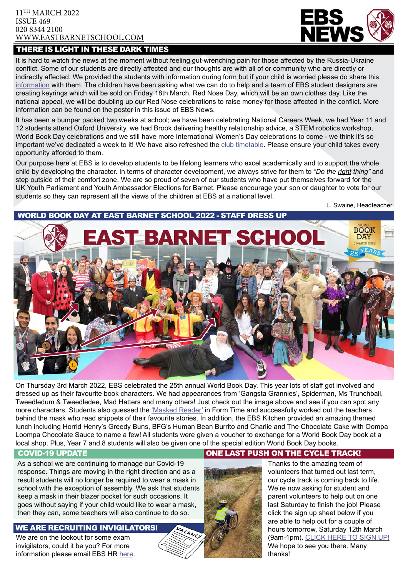#### THERE IS LIGHT IN THESE DARK TIMES

It is hard to watch the news at the moment without feeling gut-wrenching pain for those affected by the Russia-Ukraine conflict. Some of our students are directly affected and our thoughts are with all of or community who are directly or indirectly affected. We provided the students with information during form but if your child is worried please do share this [information](https://www.bbc.co.uk/bitesize/articles/zbrdjsg) with them. The children have been asking what we can do to help and a team of EBS student designers are creating keyrings which will be sold on Friday 18th March, Red Nose Day, which will be an own clothes day. Like the national appeal, we will be doubling up our Red Nose celebrations to raise money for those affected in the conflict. More information can be found on the poster in this issue of EBS News.

It has been a bumper packed two weeks at school; we have been celebrating National Careers Week, we had Year 11 and 12 students attend Oxford University, we had Brook delivering healthy relationship advice, a STEM robotics workshop, World Book Day celebrations and we still have more International Women's Day celebrations to come - we think it's so important we've dedicated a week to it! We have also refreshed the [club timetable.](https://www.eastbarnetschool.com/wp-content/uploads/2022/02/EBS-Spring-Clubs-Timetable-2021-2022-Mar-Apr.pdf) Please ensure your child takes every opportunity afforded to them.

Our purpose here at EBS is to develop students to be lifelong learners who excel academically and to support the whole child by developing the character. In terms of character development, we always strive for them to *"Do the right thing"* and step outside of their comfort zone. We are so proud of seven of our students who have put themselves forward for the UK Youth Parliament and Youth Ambassador Elections for Barnet. Please encourage your son or daughter to vote for our students so they can represent all the views of the children at EBS at a national level.

WORLD BOOK DAY AT EAST BARNET SCHOOL 2022 - STAFF DRESS UP

L. Swaine, Headteacher



On Thursday 3rd March 2022, EBS celebrated the 25th annual World Book Day. This year lots of staff got involved and dressed up as their favourite book characters. We had appearances from 'Gangsta Grannies', Spiderman, Ms Trunchball, Tweedledum & Tweedledee, Mad Hatters and many others! Just check out the image above and see if you can spot any more characters. Students also guessed the ['Masked Reader'](https://youtu.be/0wf9-383Mjc) in Form Time and successfully worked out the teachers behind the mask who read snippets of their favourite stories. In addition, the EBS Kitchen provided an amazing themed lunch including Horrid Henry's Greedy Buns, BFG's Human Bean Burrito and Charlie and The Chocolate Cake with Oompa Loompa Chocolate Sauce to name a few! All students were given a voucher to exchange for a World Book Day book at a local shop. Plus, Year 7 and 8 students will also be given one of the special edition World Book Day books.

As a school we are continuing to manage our Covid-19 response. Things are moving in the right direction and as a result students will no longer be required to wear a mask in school with the exception of assembly. We ask that students keep a mask in their blazer pocket for such occasions. It goes without saying if your child would like to wear a mask, then they can, some teachers will also continue to do so.

#### WE ARE RECRUITING INVIGILATORS!

We are on the lookout for some exam invigilators, could it be you? For more information please email EBS HR [here](mailto:shill%40eastbarnetschool.com?subject=Exam%20Invigilator).

#### COVID-19 UPDATE **ONE LAST PUSH ON THE CYCLE TRACK!**

Thanks to the amazing team of volunteers that turned out last term, our cycle track is coming back to life. We're now asking for student and parent volunteers to help out on one last Saturday to finish the job! Please click the sign up sheet below if you are able to help out for a couple of hours tomorrow, Saturday 12th March (9am-1pm). [CLICK HERE TO SIGN UP!](https://bit.ly/3hfQs26) We hope to see you there. Many thanks!

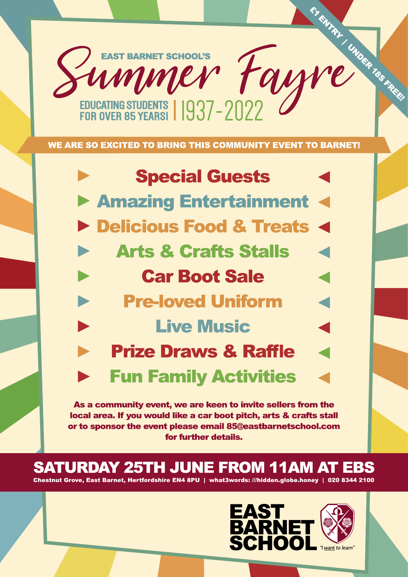

WE ARE SO EXCITED TO BRING THIS COMMUNITY EVENT TO BARNET!

|                       | <b>Special Guests</b>           |                      |
|-----------------------|---------------------------------|----------------------|
|                       | <b>Amazing Entertainment</b>    | $\blacktriangleleft$ |
|                       | Delicious Food & Treats <       |                      |
|                       | <b>Arts &amp; Crafts Stalls</b> |                      |
| $\blacktriangleright$ | <b>Car Boot Sale</b>            | d                    |
| $\blacktriangleright$ | <b>Pre-loved Uniform</b>        | $\blacktriangleleft$ |
| $\blacktriangleright$ | <b>Live Music</b>               | $\blacktriangleleft$ |
| $\blacktriangleright$ | <b>Prize Draws &amp; Raffle</b> |                      |
|                       | <b>Fun Family Activities</b>    |                      |

As a community event, we are keen to invite sellers from the local area. If you would like a car boot pitch, arts & crafts stall or to sponsor the event please email 85@eastbarnetschool.com for further details.

**SATURDAY 25TH JUNE FROM 11AM AT EBS** Chestnut Grove, East Barnet, Hertfordshire EN4 8PU | what3words: ///hidden.globe.honey | 020 8344 2100

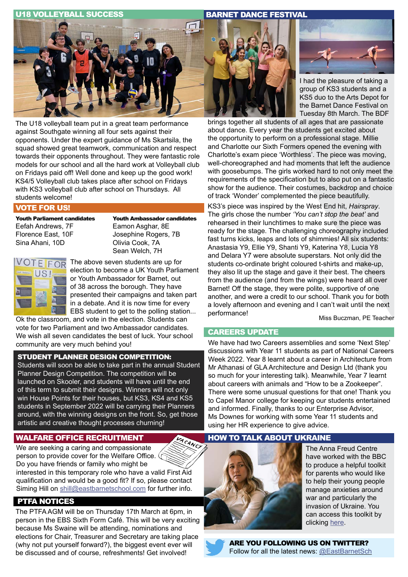#### U18 VOLLEYBALL SUCCESS BARNET DANCE FESTIVAL



The U18 volleyball team put in a great team performance against Southgate winning all four sets against their opponents. Under the expert guidance of Ms Skartsila, the squad showed great teamwork, communication and respect towards their opponents throughout. They were fantastic role models for our school and all the hard work at Volleyball club on Fridays paid off! Well done and keep up the good work! KS4/5 Volleyball club takes place after school on Fridays with KS3 volleyball club after school on Thursdays. All students welcome!

#### VOTE FOR US!

E

Youth Parliament candidates Eefah Andrews, 7F Florence East, 10F Sina Ahani, 10D

FOR

Youth Ambassador candidates Eamon Asghar, 8E Josephine Rogers, 7B Olivia Cook, 7A Sean Welch, 7H

The above seven students are up for election to become a UK Youth Parliament or Youth Ambassador for Barnet, out of 38 across the borough. They have presented their campaigns and taken part in a debate. And it is now time for every EBS student to get to the polling station...

Ok the classroom, and vote in the election. Students can vote for two Parliament and two Ambassador candidates. We wish all seven candidates the best of luck. Your school community are very much behind you!

#### STUDENT PLANNER DESIGN COMPETITION:

Students will soon be able to take part in the annual Student Planner Design Competition. The competition will be launched on Skooler, and students will have until the end of this term to submit their designs. Winners will not only win House Points for their houses, but KS3, KS4 and KS5 students in September 2022 will be carrying their Planners around, with the winning designs on the front. So, get those artistic and creative thought processes churning!

#### WALFARE OFFICE RECRUITMENT

VACANCY We are seeking a caring and compassionate person to provide cover for the Welfare Office. Do you have friends or family who might be interested in this temporary role who have a valid First Aid qualification and would be a good fit? If so, please contact Siming Hill on [shill@eastbarnetschool.com](mailto:shill%40eastbarnetschool.com?subject=Welfare%20Cover) for further info.

#### PTFA NOTICES

The PTFA AGM will be on Thursday 17th March at 6pm, in person in the EBS Sixth Form Café. This will be very exciting because Ms Swaine will be attending, nominations and elections for Chair, Treasurer and Secretary are taking place (why not put yourself forward?), the biggest event ever will be discussed and of course, refreshments! Get involved!



I had the pleasure of taking a group of KS3 students and a KS5 duo to the Arts Depot for the Barnet Dance Festival on Tuesday 8th March. The BDF

brings together all students of all ages that are passionate about dance. Every year the students get excited about the opportunity to perform on a professional stage. Millie and Charlotte our Sixth Formers opened the evening with Charlotte's exam piece 'Worthless'. The piece was moving, well-choreographed and had moments that left the audience with goosebumps. The girls worked hard to not only meet the requirements of the specification but to also put on a fantastic show for the audience. Their costumes, backdrop and choice of track 'Wonder' complemented the piece beautifully.

KS3's piece was inspired by the West End hit, *Hairspray*. The girls chose the number *'You can't stop the beat'* and rehearsed in their lunchtimes to make sure the piece was ready for the stage. The challenging choreography included fast turns kicks, leaps and lots of shimmies! All six students: Anastasia Y9, Ellie Y9, Shanti Y9, Katerina Y8, Lucia Y8 and Delara Y7 were absolute superstars. Not only did the students co-ordinate bright coloured t-shirts and make-up, they also lit up the stage and gave it their best. The cheers from the audience (and from the wings) were heard all over Barnet! Off the stage, they were polite, supportive of one another, and were a credit to our school. Thank you for both a lovely afternoon and evening and I can't wait until the next performance! Miss Buczman, PE Teacher

#### CAREERS UPDATE

We have had two Careers assemblies and some 'Next Step' discussions with Year 11 students as part of National Careers Week 2022. Year 8 learnt about a career in Architecture from Mr Athanasi of GLA Architecture and Design Ltd (thank you so much for your interesting talk). Meanwhile, Year 7 learnt about careers with animals and "How to be a Zookeeper". There were some unusual questions for that one! Thank you to Capel Manor college for keeping our students entertained and informed. Finally, thanks to our Enterprise Advisor, Ms Downes for working with some Year 11 students and using her HR experience to give advice.

#### HOW TO TALK ABOUT UKRAINE



The Anna Freud Centre have worked with the BBC to produce a helpful toolkit for parents who would like to help their young people manage anxieties around war and particularly the invasion of Ukraine. You can access this toolkit by clicking [here](https://www.bbc.co.uk/bitesize/articles/zbrdjsg).



ARE YOU FOLLOWING US ON TWITTER? Follow for all the latest news: [@EastBarnetSch](https://twitter.com/EastBarnetSch)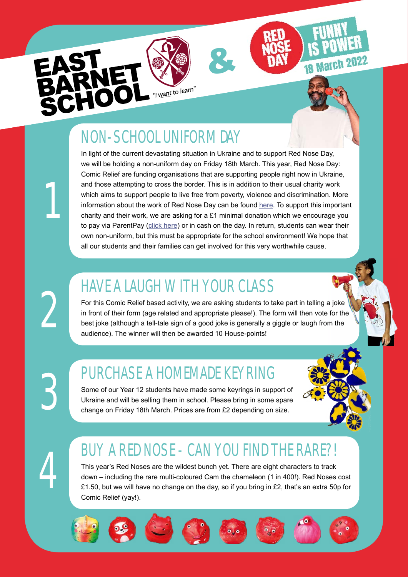## "I want to learn" HOOI



## NON-SCHOOL UNIFORM DAY

In light of the current devastating situation in Ukraine and to support Red Nose Day, we will be holding a non-uniform day on Friday 18th March. This year, Red Nose Day: Comic Relief are funding organisations that are supporting people right now in Ukraine, and those attempting to cross the border. This is in addition to their usual charity work which aims to support people to live free from poverty, violence and discrimination. More information about the work of Red Nose Day can be found [here](https://www.comicrelief.com/rednoseday). To support this important charity and their work, we are asking for a £1 minimal donation which we encourage you to pay via ParentPay ([click here\)](https://bit.ly/3J3HUYj) or in cash on the day. In return, students can wear their own non-uniform, but this must be appropriate for the school environment! We hope that all our students and their families can get involved for this very worthwhile cause.

&

## HAVE A LAUGH WITH YOUR CLASS

For this Comic Relief based activity, we are asking students to take part in telling a joke in front of their form (age related and appropriate please!). The form will then vote for the best joke (although a tell-tale sign of a good joke is generally a giggle or laugh from the audience). The winner will then be awarded 10 House-points!

# 3

4

2

1

## PURCHASE A HOMEMADE KEYRING

Some of our Year 12 students have made some keyrings in support of Ukraine and will be selling them in school. Please bring in some spare change on Friday 18th March. Prices are from £2 depending on size.

## BUY A RED NOSE - CAN YOU FIND THE RARE?!

This year's Red Noses are the wildest bunch yet. There are eight characters to track down – including the rare multi-coloured Cam the chameleon (1 in 400!). Red Noses cost £1.50, but we will have no change on the day, so if you bring in £2, that's an extra 50p for Comic Relief (yay!).